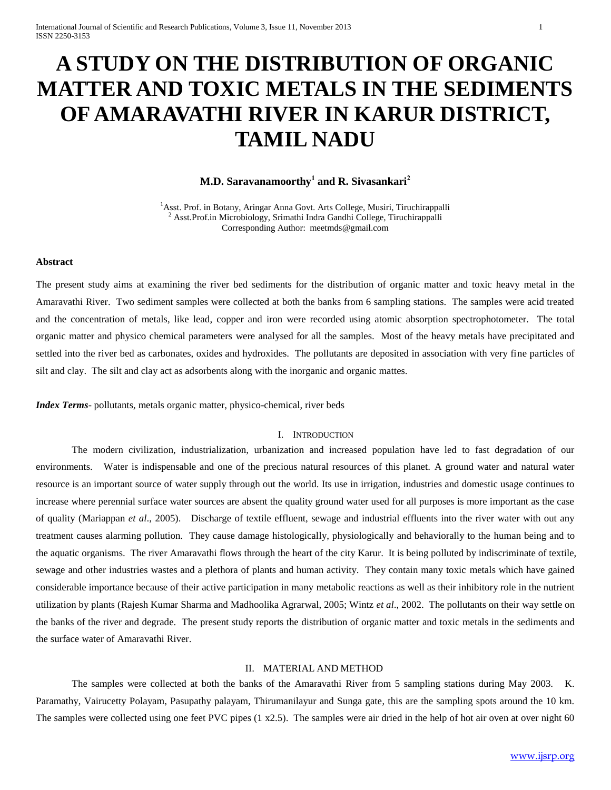# **A STUDY ON THE DISTRIBUTION OF ORGANIC MATTER AND TOXIC METALS IN THE SEDIMENTS OF AMARAVATHI RIVER IN KARUR DISTRICT, TAMIL NADU**

# **M.D. Saravanamoorthy<sup>1</sup> and R. Sivasankari<sup>2</sup>**

<sup>1</sup>Asst. Prof. in Botany, Aringar Anna Govt. Arts College, Musiri, Tiruchirappalli <sup>2</sup> Asst.Prof.in Microbiology, Srimathi Indra Gandhi College, Tiruchirappalli Corresponding Author: meetmds@gmail.com

## **Abstract**

The present study aims at examining the river bed sediments for the distribution of organic matter and toxic heavy metal in the Amaravathi River. Two sediment samples were collected at both the banks from 6 sampling stations. The samples were acid treated and the concentration of metals, like lead, copper and iron were recorded using atomic absorption spectrophotometer. The total organic matter and physico chemical parameters were analysed for all the samples. Most of the heavy metals have precipitated and settled into the river bed as carbonates, oxides and hydroxides. The pollutants are deposited in association with very fine particles of silt and clay. The silt and clay act as adsorbents along with the inorganic and organic mattes.

*Index Terms*- pollutants, metals organic matter, physico-chemical, river beds

### I. INTRODUCTION

The modern civilization, industrialization, urbanization and increased population have led to fast degradation of our environments. Water is indispensable and one of the precious natural resources of this planet. A ground water and natural water resource is an important source of water supply through out the world. Its use in irrigation, industries and domestic usage continues to increase where perennial surface water sources are absent the quality ground water used for all purposes is more important as the case of quality (Mariappan *et al*., 2005). Discharge of textile effluent, sewage and industrial effluents into the river water with out any treatment causes alarming pollution. They cause damage histologically, physiologically and behaviorally to the human being and to the aquatic organisms. The river Amaravathi flows through the heart of the city Karur. It is being polluted by indiscriminate of textile, sewage and other industries wastes and a plethora of plants and human activity. They contain many toxic metals which have gained considerable importance because of their active participation in many metabolic reactions as well as their inhibitory role in the nutrient utilization by plants (Rajesh Kumar Sharma and Madhoolika Agrarwal, 2005; Wintz *et al*., 2002. The pollutants on their way settle on the banks of the river and degrade. The present study reports the distribution of organic matter and toxic metals in the sediments and the surface water of Amaravathi River.

#### II. MATERIAL AND METHOD

The samples were collected at both the banks of the Amaravathi River from 5 sampling stations during May 2003. K. Paramathy, Vairucetty Polayam, Pasupathy palayam, Thirumanilayur and Sunga gate, this are the sampling spots around the 10 km. The samples were collected using one feet PVC pipes (1 x2.5). The samples were air dried in the help of hot air oven at over night 60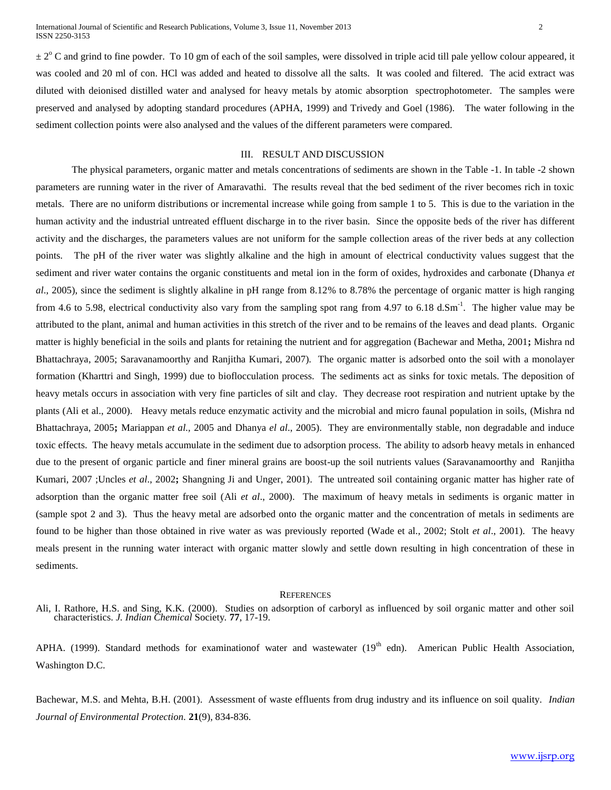$\pm 2^{\circ}$  C and grind to fine powder. To 10 gm of each of the soil samples, were dissolved in triple acid till pale yellow colour appeared, it was cooled and 20 ml of con. HCl was added and heated to dissolve all the salts. It was cooled and filtered. The acid extract was diluted with deionised distilled water and analysed for heavy metals by atomic absorption spectrophotometer. The samples were preserved and analysed by adopting standard procedures (APHA, 1999) and Trivedy and Goel (1986). The water following in the sediment collection points were also analysed and the values of the different parameters were compared.

### III. RESULT AND DISCUSSION

The physical parameters, organic matter and metals concentrations of sediments are shown in the Table -1. In table -2 shown parameters are running water in the river of Amaravathi. The results reveal that the bed sediment of the river becomes rich in toxic metals. There are no uniform distributions or incremental increase while going from sample 1 to 5. This is due to the variation in the human activity and the industrial untreated effluent discharge in to the river basin. Since the opposite beds of the river has different activity and the discharges, the parameters values are not uniform for the sample collection areas of the river beds at any collection points. The pH of the river water was slightly alkaline and the high in amount of electrical conductivity values suggest that the sediment and river water contains the organic constituents and metal ion in the form of oxides, hydroxides and carbonate (Dhanya *et al*., 2005), since the sediment is slightly alkaline in pH range from 8.12% to 8.78% the percentage of organic matter is high ranging from 4.6 to 5.98, electrical conductivity also vary from the sampling spot rang from 4.97 to 6.18 d.Sm<sup>-1</sup>. The higher value may be attributed to the plant, animal and human activities in this stretch of the river and to be remains of the leaves and dead plants. Organic matter is highly beneficial in the soils and plants for retaining the nutrient and for aggregation (Bachewar and Metha, 2001**;** Mishra nd Bhattachraya, 2005; Saravanamoorthy and Ranjitha Kumari, 2007). The organic matter is adsorbed onto the soil with a monolayer formation (Kharttri and Singh, 1999) due to bioflocculation process. The sediments act as sinks for toxic metals. The deposition of heavy metals occurs in association with very fine particles of silt and clay. They decrease root respiration and nutrient uptake by the plants (Ali et al., 2000). Heavy metals reduce enzymatic activity and the microbial and micro faunal population in soils, (Mishra nd Bhattachraya, 2005**;** Mariappan *et al.,* 2005 and Dhanya *el al*., 2005). They are environmentally stable, non degradable and induce toxic effects. The heavy metals accumulate in the sediment due to adsorption process. The ability to adsorb heavy metals in enhanced due to the present of organic particle and finer mineral grains are boost-up the soil nutrients values (Saravanamoorthy and Ranjitha Kumari, 2007 ;Uncles *et al*., 2002**;** Shangning Ji and Unger, 2001). The untreated soil containing organic matter has higher rate of adsorption than the organic matter free soil (Ali *et al*., 2000). The maximum of heavy metals in sediments is organic matter in (sample spot 2 and 3). Thus the heavy metal are adsorbed onto the organic matter and the concentration of metals in sediments are found to be higher than those obtained in rive water as was previously reported (Wade et al., 2002; Stolt *et al*., 2001). The heavy meals present in the running water interact with organic matter slowly and settle down resulting in high concentration of these in sediments.

#### **REFERENCES**

Ali, I. Rathore, H.S. and Sing, K.K. (2000). Studies on adsorption of carboryl as influenced by soil organic matter and other soil characteristics. *J. Indian Chemical* Society*.* **77**, 17-19.

APHA. (1999). Standard methods for examinationof water and wastewater  $(19<sup>th</sup>$  edn). American Public Health Association, Washington D.C.

Bachewar, M.S. and Mehta, B.H. (2001). Assessment of waste effluents from drug industry and its influence on soil quality. *Indian Journal of Environmental Protection.* **21**(9), 834-836.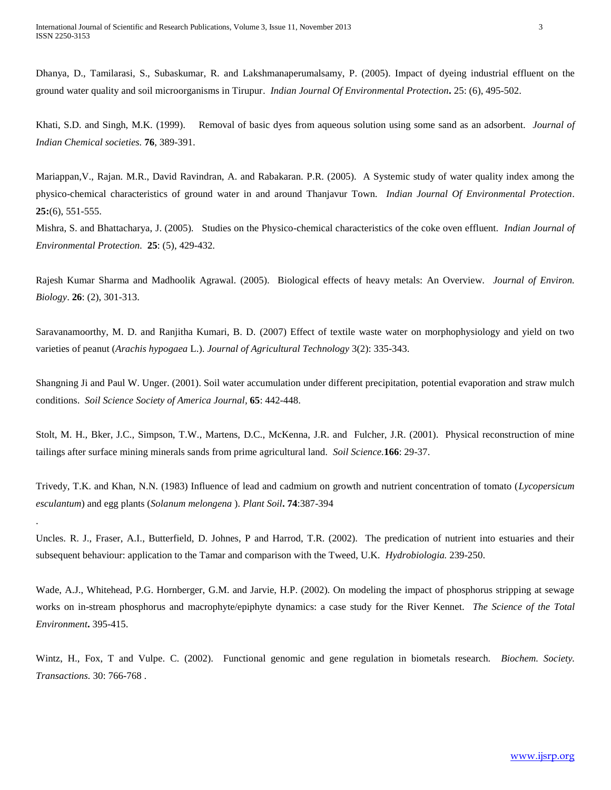.

Dhanya, D., Tamilarasi, S., Subaskumar, R. and Lakshmanaperumalsamy, P. (2005). Impact of dyeing industrial effluent on the ground water quality and soil microorganisms in Tirupur. *Indian Journal Of Environmental Protection***.** 25: (6), 495-502.

Khati, S.D. and Singh, M.K. (1999). Removal of basic dyes from aqueous solution using some sand as an adsorbent. *Journal of Indian Chemical societies.* **76**, 389-391.

Mariappan,V., Rajan. M.R., David Ravindran, A. and Rabakaran. P.R. (2005). A Systemic study of water quality index among the physico-chemical characteristics of ground water in and around Thanjavur Town. *Indian Journal Of Environmental Protection*. **25:**(6), 551-555.

Mishra, S. and Bhattacharya, J. (2005). Studies on the Physico-chemical characteristics of the coke oven effluent. *Indian Journal of Environmental Protection.* **25**: (5), 429-432.

Rajesh Kumar Sharma and Madhoolik Agrawal. (2005). Biological effects of heavy metals: An Overview. *Journal of Environ. Biology*. **26**: (2), 301-313.

Saravanamoorthy, M. D. and Ranjitha Kumari, B. D. (2007) Effect of textile waste water on morphophysiology and yield on two varieties of peanut (*Arachis hypogaea* L.). *Journal of Agricultural Technology* 3(2): 335-343.

Shangning Ji and Paul W. Unger. (2001). Soil water accumulation under different precipitation, potential evaporation and straw mulch conditions. *Soil Science Society of America Journal,* **65**: 442-448.

Stolt, M. H., Bker, J.C., Simpson, T.W., Martens, D.C., McKenna, J.R. and Fulcher, J.R. (2001). Physical reconstruction of mine tailings after surface mining minerals sands from prime agricultural land. *Soil Science.***166**: 29-37.

Trivedy, T.K. and Khan, N.N. (1983) Influence of lead and cadmium on growth and nutrient concentration of tomato (*Lycopersicum esculantum*) and egg plants (*Solanum melongena* ). *Plant Soil***. 74**:387-394

Uncles. R. J., Fraser, A.I., Butterfield, D. Johnes, P and Harrod, T.R. (2002). The predication of nutrient into estuaries and their subsequent behaviour: application to the Tamar and comparison with the Tweed, U.K. *Hydrobiologia.* 239-250.

Wade, A.J., Whitehead, P.G. Hornberger, G.M. and Jarvie, H.P. (2002). On modeling the impact of phosphorus stripping at sewage works on in-stream phosphorus and macrophyte/epiphyte dynamics: a case study for the River Kennet. *The Science of the Total Environment***.** 395-415.

Wintz, H., Fox, T and Vulpe. C. (2002). Functional genomic and gene regulation in biometals research. *Biochem. Society. Transactions.* 30: 766-768 .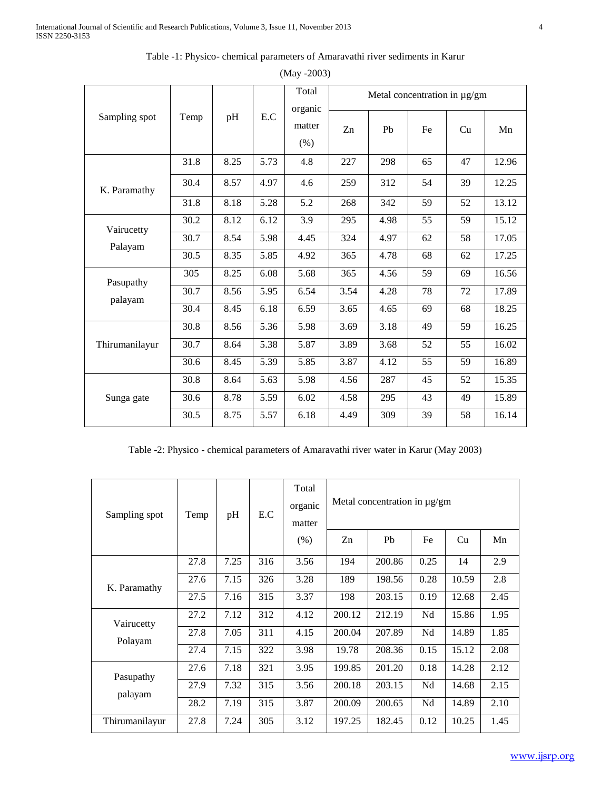| Sampling spot         | Temp              |      |      | Total                     | Metal concentration in µg/gm |                |    |    |       |  |
|-----------------------|-------------------|------|------|---------------------------|------------------------------|----------------|----|----|-------|--|
|                       |                   | pH   | E.C  | organic<br>matter<br>(% ) | Zn                           | P <sub>b</sub> | Fe | Cu | Mn    |  |
| K. Paramathy          | 31.8              | 8.25 | 5.73 | 4.8                       | 227                          | 298            | 65 | 47 | 12.96 |  |
|                       | 30.4              | 8.57 | 4.97 | 4.6                       | 259                          | 312            | 54 | 39 | 12.25 |  |
|                       | 31.8              | 8.18 | 5.28 | 5.2                       | 268                          | 342            | 59 | 52 | 13.12 |  |
| Vairucetty<br>Palayam | 30.2              | 8.12 | 6.12 | 3.9                       | 295                          | 4.98           | 55 | 59 | 15.12 |  |
|                       | 30.7              | 8.54 | 5.98 | 4.45                      | 324                          | 4.97           | 62 | 58 | 17.05 |  |
|                       | 30.5              | 8.35 | 5.85 | 4.92                      | 365                          | 4.78           | 68 | 62 | 17.25 |  |
| Pasupathy<br>palayam  | 305               | 8.25 | 6.08 | 5.68                      | 365                          | 4.56           | 59 | 69 | 16.56 |  |
|                       | 30.7              | 8.56 | 5.95 | 6.54                      | 3.54                         | 4.28           | 78 | 72 | 17.89 |  |
|                       | 30.4              | 8.45 | 6.18 | 6.59                      | 3.65                         | 4.65           | 69 | 68 | 18.25 |  |
| Thirumanilayur        | 30.8              | 8.56 | 5.36 | 5.98                      | 3.69                         | 3.18           | 49 | 59 | 16.25 |  |
|                       | $\overline{3}0.7$ | 8.64 | 5.38 | 5.87                      | 3.89                         | 3.68           | 52 | 55 | 16.02 |  |
|                       | 30.6              | 8.45 | 5.39 | 5.85                      | 3.87                         | 4.12           | 55 | 59 | 16.89 |  |
| Sunga gate            | 30.8              | 8.64 | 5.63 | 5.98                      | 4.56                         | 287            | 45 | 52 | 15.35 |  |
|                       | 30.6              | 8.78 | 5.59 | 6.02                      | 4.58                         | 295            | 43 | 49 | 15.89 |  |
|                       | 30.5              | 8.75 | 5.57 | 6.18                      | 4.49                         | 309            | 39 | 58 | 16.14 |  |

Table -1: Physico- chemical parameters of Amaravathi river sediments in Karur

| $(May - 2003)$ |  |
|----------------|--|
|----------------|--|

Table -2: Physico - chemical parameters of Amaravathi river water in Karur (May 2003)

| Sampling spot         | Temp | pH   | E.C | Total<br>organic<br>matter | Metal concentration in $\mu$ g/gm |                |      |       |      |
|-----------------------|------|------|-----|----------------------------|-----------------------------------|----------------|------|-------|------|
|                       |      |      |     | (% )                       | Zn                                | P <sub>b</sub> | Fe   | Cu    | Mn   |
|                       | 27.8 | 7.25 | 316 | 3.56                       | 194                               | 200.86         | 0.25 | 14    | 2.9  |
| K. Paramathy          | 27.6 | 7.15 | 326 | 3.28                       | 189                               | 198.56         | 0.28 | 10.59 | 2.8  |
|                       | 27.5 | 7.16 | 315 | 3.37                       | 198                               | 203.15         | 0.19 | 12.68 | 2.45 |
| Vairucetty<br>Polayam | 27.2 | 7.12 | 312 | 4.12                       | 200.12                            | 212.19         | Nd   | 15.86 | 1.95 |
|                       | 27.8 | 7.05 | 311 | 4.15                       | 200.04                            | 207.89         | Nd   | 14.89 | 1.85 |
|                       | 27.4 | 7.15 | 322 | 3.98                       | 19.78                             | 208.36         | 0.15 | 15.12 | 2.08 |
| Pasupathy<br>palayam  | 27.6 | 7.18 | 321 | 3.95                       | 199.85                            | 201.20         | 0.18 | 14.28 | 2.12 |
|                       | 27.9 | 7.32 | 315 | 3.56                       | 200.18                            | 203.15         | Nd   | 14.68 | 2.15 |
|                       | 28.2 | 7.19 | 315 | 3.87                       | 200.09                            | 200.65         | Nd   | 14.89 | 2.10 |
| Thirumanilayur        | 27.8 | 7.24 | 305 | 3.12                       | 197.25                            | 182.45         | 0.12 | 10.25 | 1.45 |